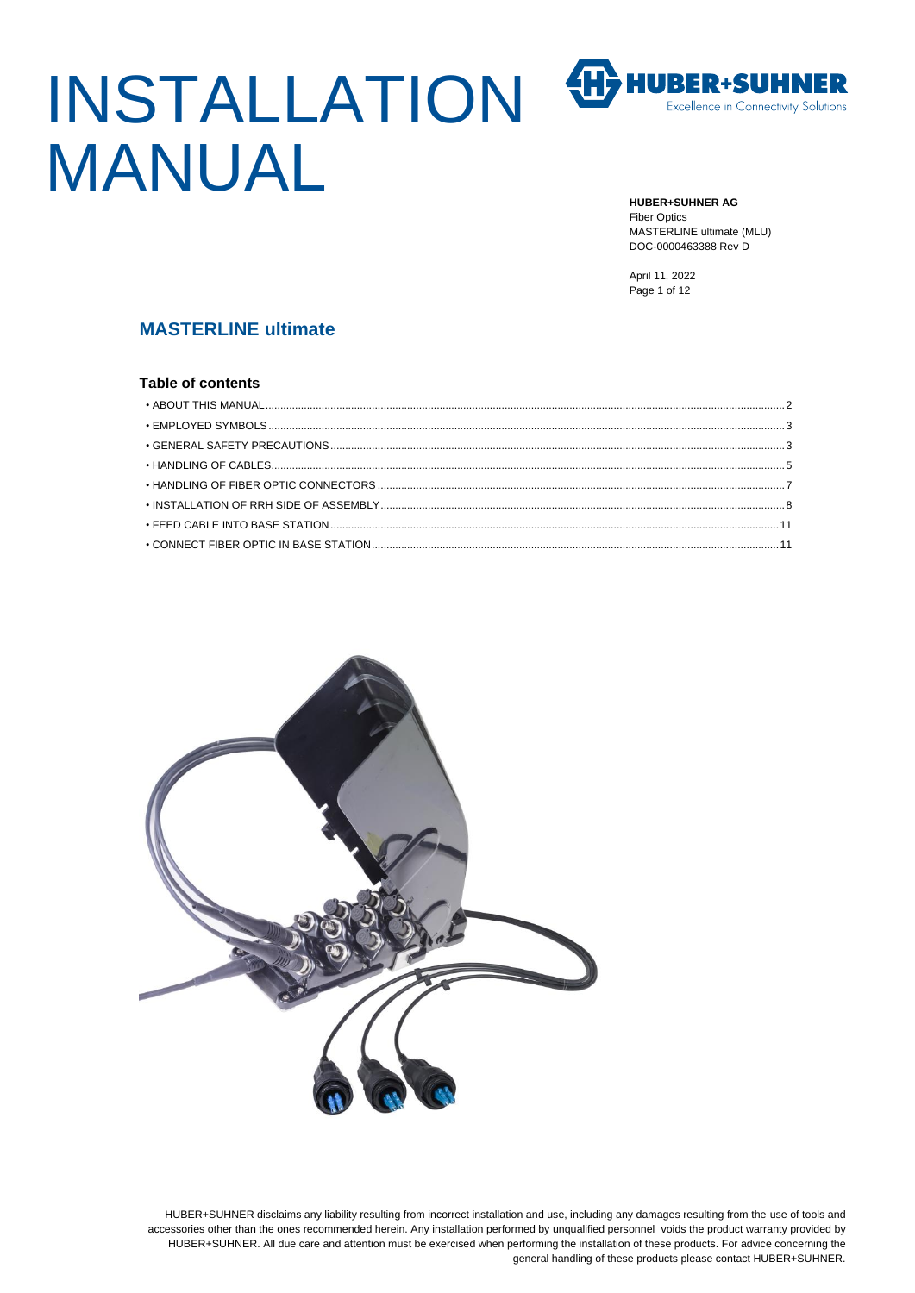

# INSTALLATION MANUAL

**HUBER+SUHNER AG**

Fiber Optics MASTERLINE ultimate (MLU) DOC-0000463388 Rev D

April 11, 2022 Page 1 of 12

# **MASTERLINE ultimate**

### **Table of contents**

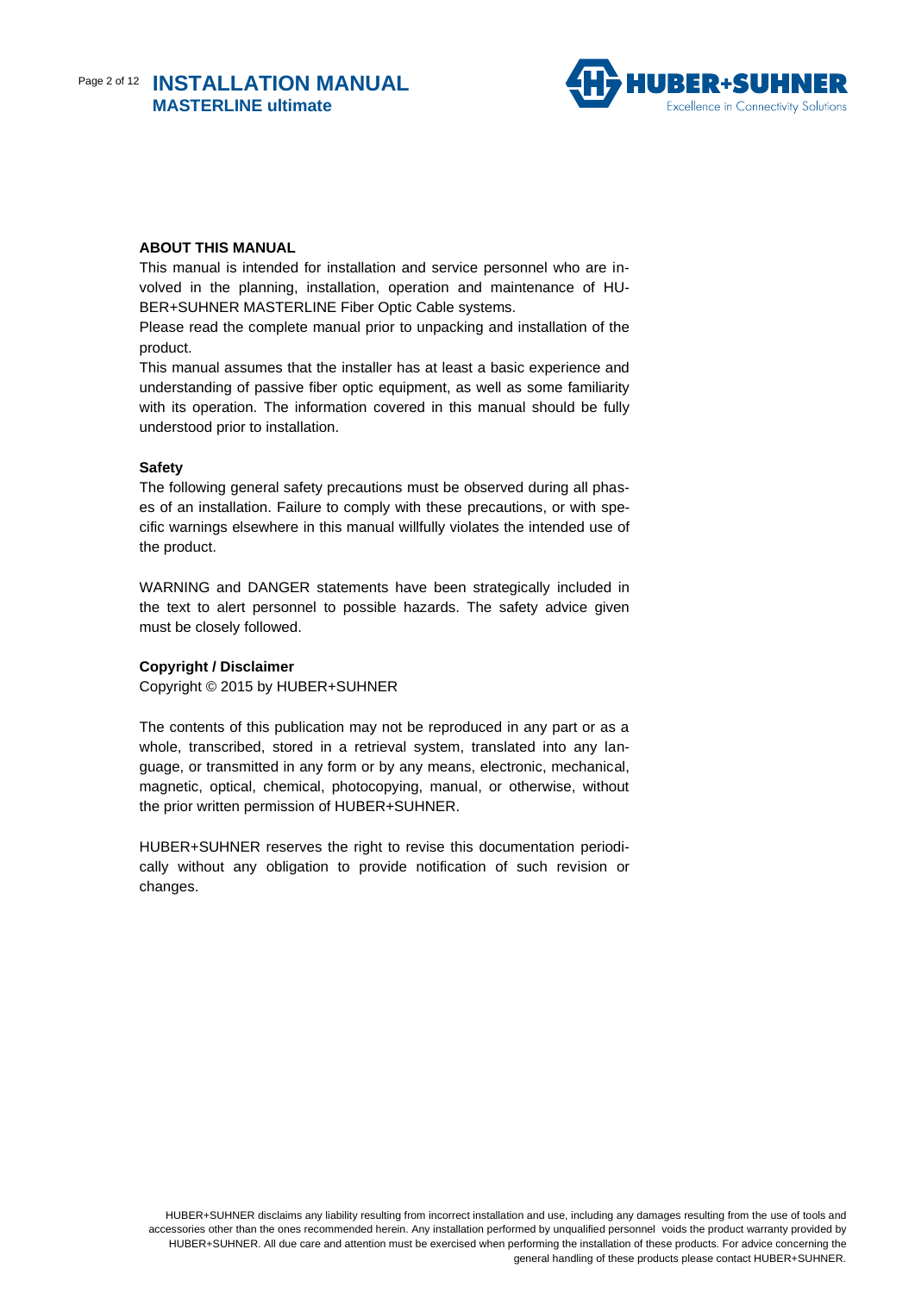Page 2 of 12 **INSTALLATION MANUAL MASTERLINE ultimate**



## **ABOUT THIS MANUAL**

This manual is intended for installation and service personnel who are involved in the planning, installation, operation and maintenance of HU-BER+SUHNER MASTERLINE Fiber Optic Cable systems.

Please read the complete manual prior to unpacking and installation of the product.

This manual assumes that the installer has at least a basic experience and understanding of passive fiber optic equipment, as well as some familiarity with its operation. The information covered in this manual should be fully understood prior to installation.

#### **Safety**

The following general safety precautions must be observed during all phases of an installation. Failure to comply with these precautions, or with specific warnings elsewhere in this manual willfully violates the intended use of the product.

WARNING and DANGER statements have been strategically included in the text to alert personnel to possible hazards. The safety advice given must be closely followed.

### **Copyright / Disclaimer**

Copyright © 2015 by HUBER+SUHNER

The contents of this publication may not be reproduced in any part or as a whole, transcribed, stored in a retrieval system, translated into any language, or transmitted in any form or by any means, electronic, mechanical, magnetic, optical, chemical, photocopying, manual, or otherwise, without the prior written permission of HUBER+SUHNER.

HUBER+SUHNER reserves the right to revise this documentation periodically without any obligation to provide notification of such revision or changes.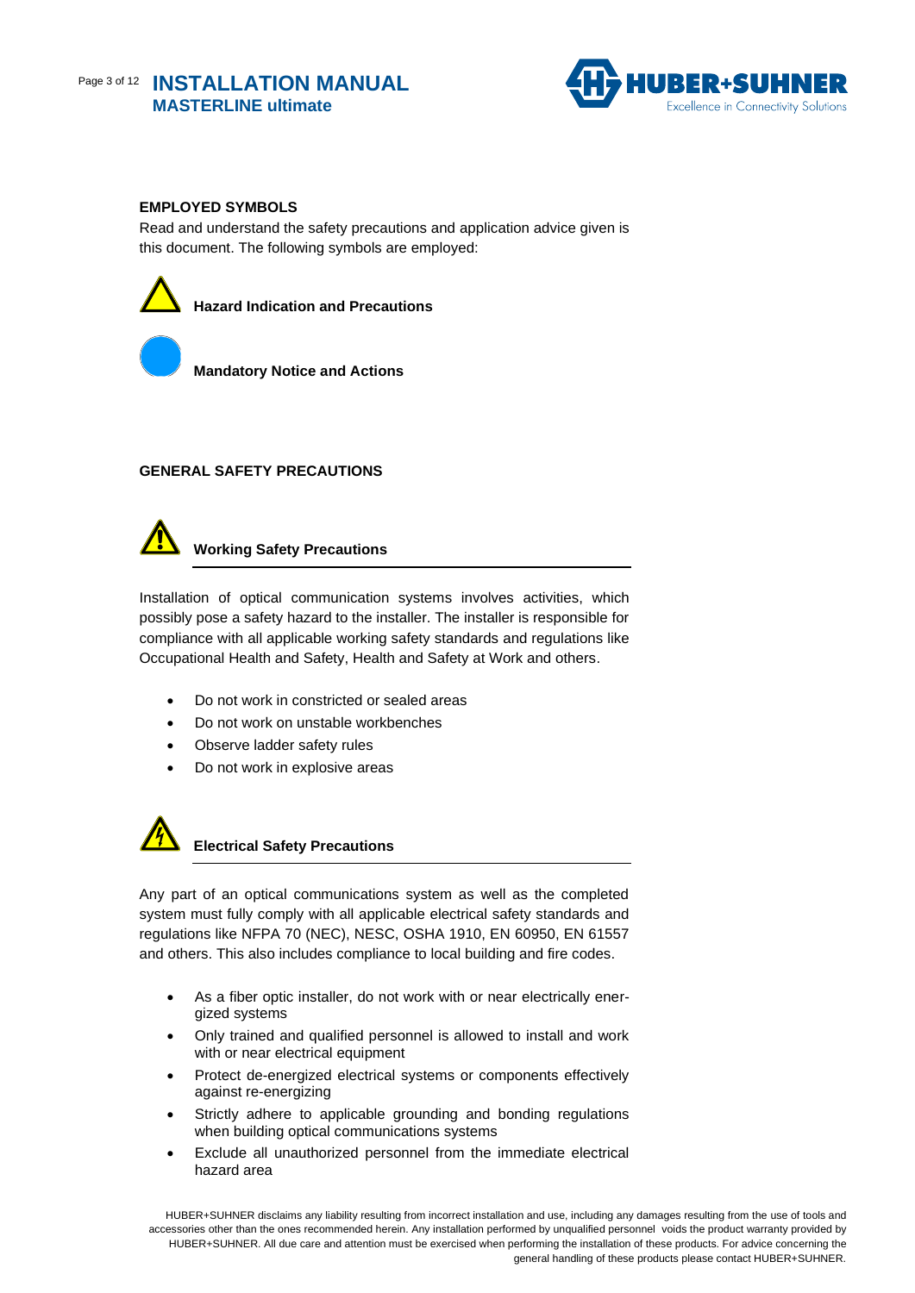



### **EMPLOYED SYMBOLS**

Read and understand the safety precautions and application advice given is this document. The following symbols are employed:



**Hazard Indication and Precautions** 



**Mandatory Notice and Actions**

## **GENERAL SAFETY PRECAUTIONS**



**Working Safety Precautions**

Installation of optical communication systems involves activities, which possibly pose a safety hazard to the installer. The installer is responsible for compliance with all applicable working safety standards and regulations like Occupational Health and Safety, Health and Safety at Work and others.

- Do not work in constricted or sealed areas
- Do not work on unstable workbenches
- Observe ladder safety rules
- Do not work in explosive areas



## **Electrical Safety Precautions**

Any part of an optical communications system as well as the completed system must fully comply with all applicable electrical safety standards and regulations like NFPA 70 (NEC), NESC, OSHA 1910, EN 60950, EN 61557 and others. This also includes compliance to local building and fire codes.

- As a fiber optic installer, do not work with or near electrically energized systems
- Only trained and qualified personnel is allowed to install and work with or near electrical equipment
- Protect de-energized electrical systems or components effectively against re-energizing
- Strictly adhere to applicable grounding and bonding regulations when building optical communications systems
- Exclude all unauthorized personnel from the immediate electrical hazard area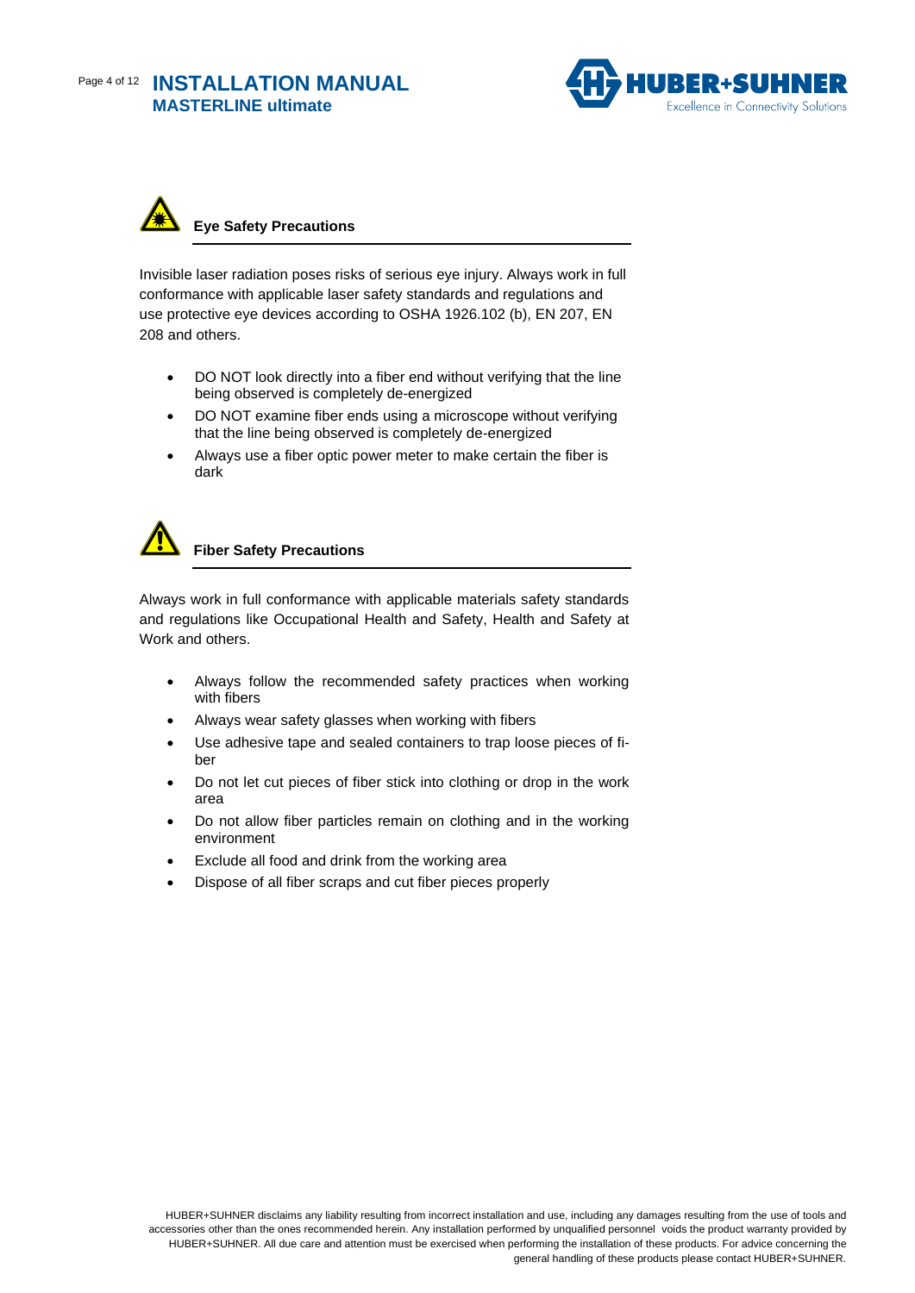Page 4 of 12 **INSTALLATION MANUAL MASTERLINE ultimate**





Invisible laser radiation poses risks of serious eye injury. Always work in full conformance with applicable laser safety standards and regulations and use protective eye devices according to OSHA 1926.102 (b), EN 207, EN 208 and others.

- DO NOT look directly into a fiber end without verifying that the line being observed is completely de-energized
- DO NOT examine fiber ends using a microscope without verifying that the line being observed is completely de-energized
- Always use a fiber optic power meter to make certain the fiber is dark



## **Fiber Safety Precautions**

Always work in full conformance with applicable materials safety standards and regulations like Occupational Health and Safety, Health and Safety at Work and others.

- Always follow the recommended safety practices when working with fibers
- Always wear safety glasses when working with fibers
- Use adhesive tape and sealed containers to trap loose pieces of fiber
- Do not let cut pieces of fiber stick into clothing or drop in the work area
- Do not allow fiber particles remain on clothing and in the working environment
- Exclude all food and drink from the working area
- Dispose of all fiber scraps and cut fiber pieces properly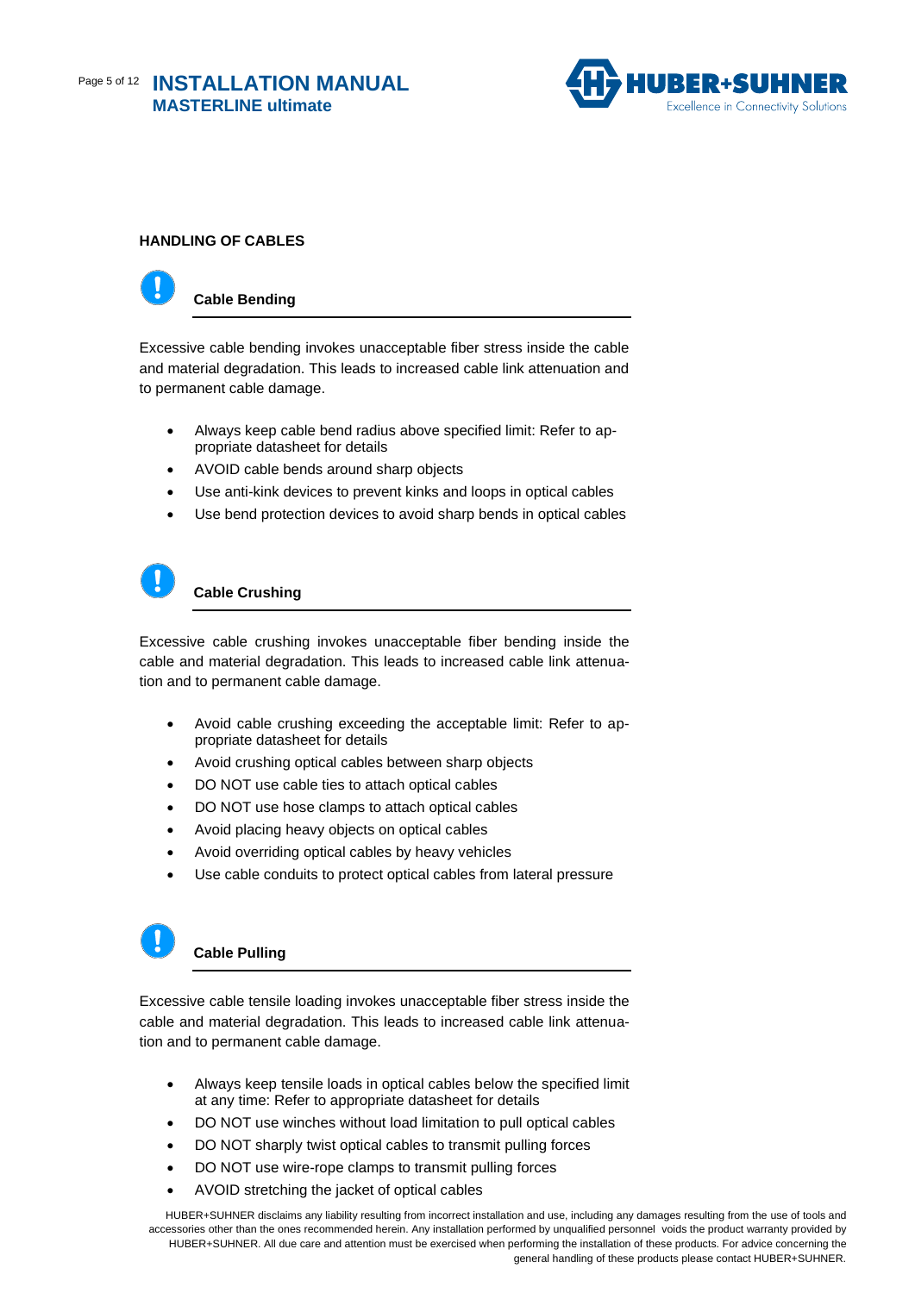

## **HANDLING OF CABLES**



**Cable Bending**

Excessive cable bending invokes unacceptable fiber stress inside the cable and material degradation. This leads to increased cable link attenuation and to permanent cable damage.

- Always keep cable bend radius above specified limit: Refer to appropriate datasheet for details
- AVOID cable bends around sharp objects
- Use anti-kink devices to prevent kinks and loops in optical cables
- Use bend protection devices to avoid sharp bends in optical cables



## **Cable Crushing**

Excessive cable crushing invokes unacceptable fiber bending inside the cable and material degradation. This leads to increased cable link attenuation and to permanent cable damage.

- Avoid cable crushing exceeding the acceptable limit: Refer to appropriate datasheet for details
- Avoid crushing optical cables between sharp objects
- DO NOT use cable ties to attach optical cables
- DO NOT use hose clamps to attach optical cables
- Avoid placing heavy objects on optical cables
- Avoid overriding optical cables by heavy vehicles
- Use cable conduits to protect optical cables from lateral pressure



## **Cable Pulling**

Excessive cable tensile loading invokes unacceptable fiber stress inside the cable and material degradation. This leads to increased cable link attenuation and to permanent cable damage.

- Always keep tensile loads in optical cables below the specified limit at any time: Refer to appropriate datasheet for details
- DO NOT use winches without load limitation to pull optical cables
- DO NOT sharply twist optical cables to transmit pulling forces
- DO NOT use wire-rope clamps to transmit pulling forces
- AVOID stretching the jacket of optical cables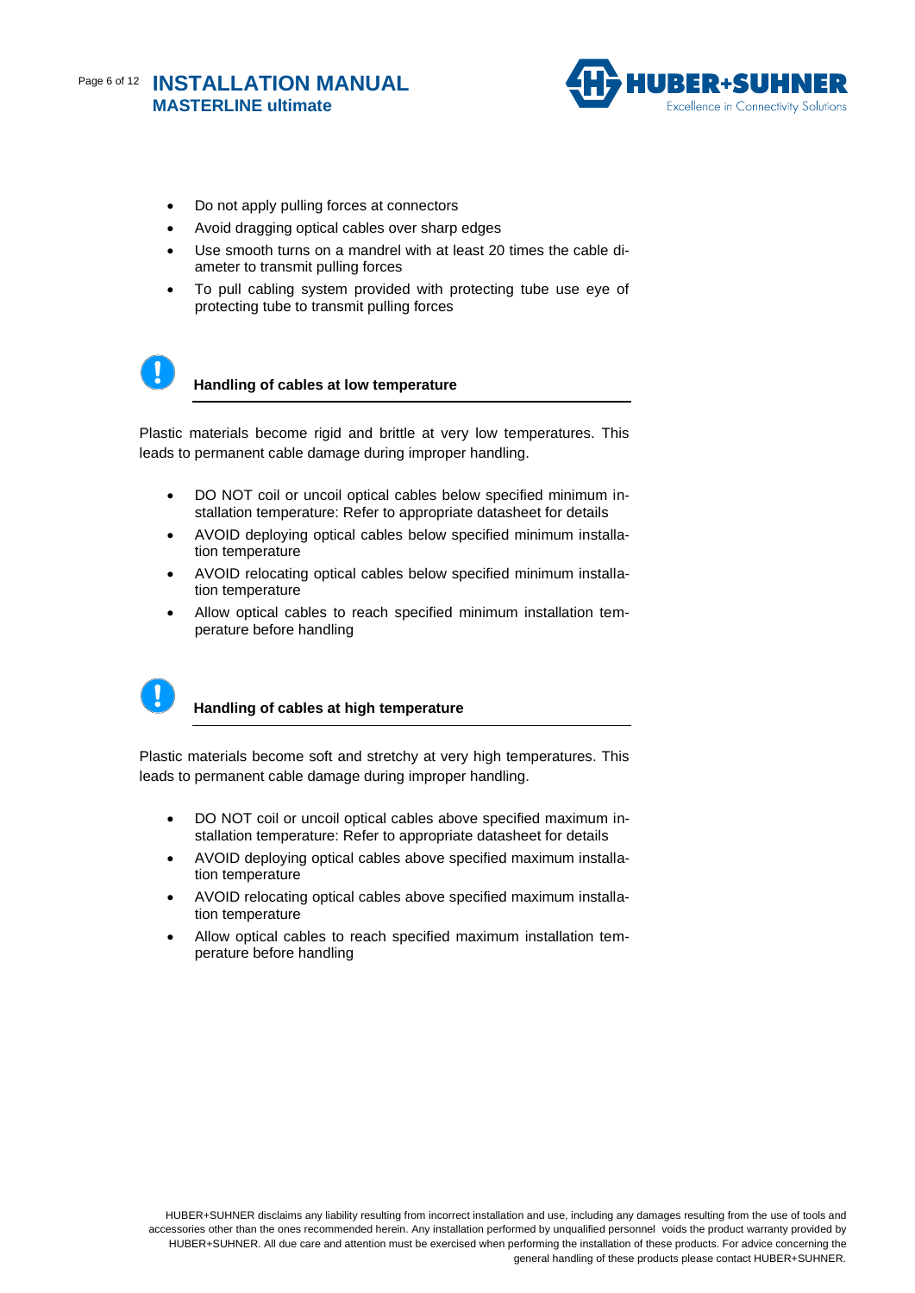Page 6 of 12 **INSTALLATION MANUAL MASTERLINE ultimate**



- Do not apply pulling forces at connectors
- Avoid dragging optical cables over sharp edges
- Use smooth turns on a mandrel with at least 20 times the cable diameter to transmit pulling forces
- To pull cabling system provided with protecting tube use eye of protecting tube to transmit pulling forces



#### **Handling of cables at low temperature**

Plastic materials become rigid and brittle at very low temperatures. This leads to permanent cable damage during improper handling.

- DO NOT coil or uncoil optical cables below specified minimum installation temperature: Refer to appropriate datasheet for details
- AVOID deploying optical cables below specified minimum installation temperature
- AVOID relocating optical cables below specified minimum installation temperature
- Allow optical cables to reach specified minimum installation temperature before handling



### **Handling of cables at high temperature**

Plastic materials become soft and stretchy at very high temperatures. This leads to permanent cable damage during improper handling.

- DO NOT coil or uncoil optical cables above specified maximum installation temperature: Refer to appropriate datasheet for details
- AVOID deploying optical cables above specified maximum installation temperature
- AVOID relocating optical cables above specified maximum installation temperature
- Allow optical cables to reach specified maximum installation temperature before handling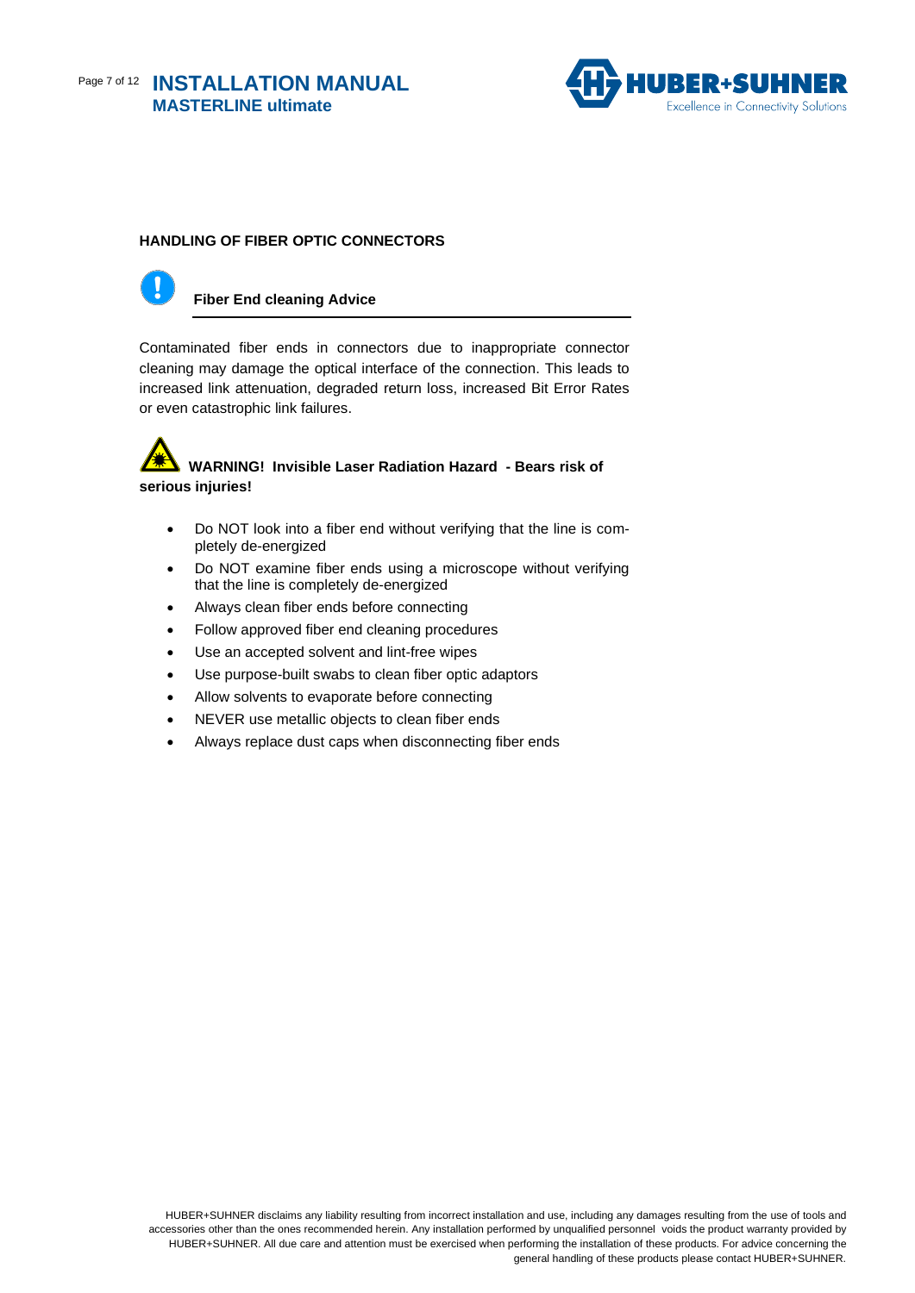

### **HANDLING OF FIBER OPTIC CONNECTORS**



**Fiber End cleaning Advice**

Contaminated fiber ends in connectors due to inappropriate connector cleaning may damage the optical interface of the connection. This leads to increased link attenuation, degraded return loss, increased Bit Error Rates or even catastrophic link failures.

# **WARNING! Invisible Laser Radiation Hazard - Bears risk of serious injuries!**

- Do NOT look into a fiber end without verifying that the line is completely de-energized
- Do NOT examine fiber ends using a microscope without verifying that the line is completely de-energized
- Always clean fiber ends before connecting
- Follow approved fiber end cleaning procedures
- Use an accepted solvent and lint-free wipes
- Use purpose-built swabs to clean fiber optic adaptors
- Allow solvents to evaporate before connecting
- NEVER use metallic objects to clean fiber ends
- Always replace dust caps when disconnecting fiber ends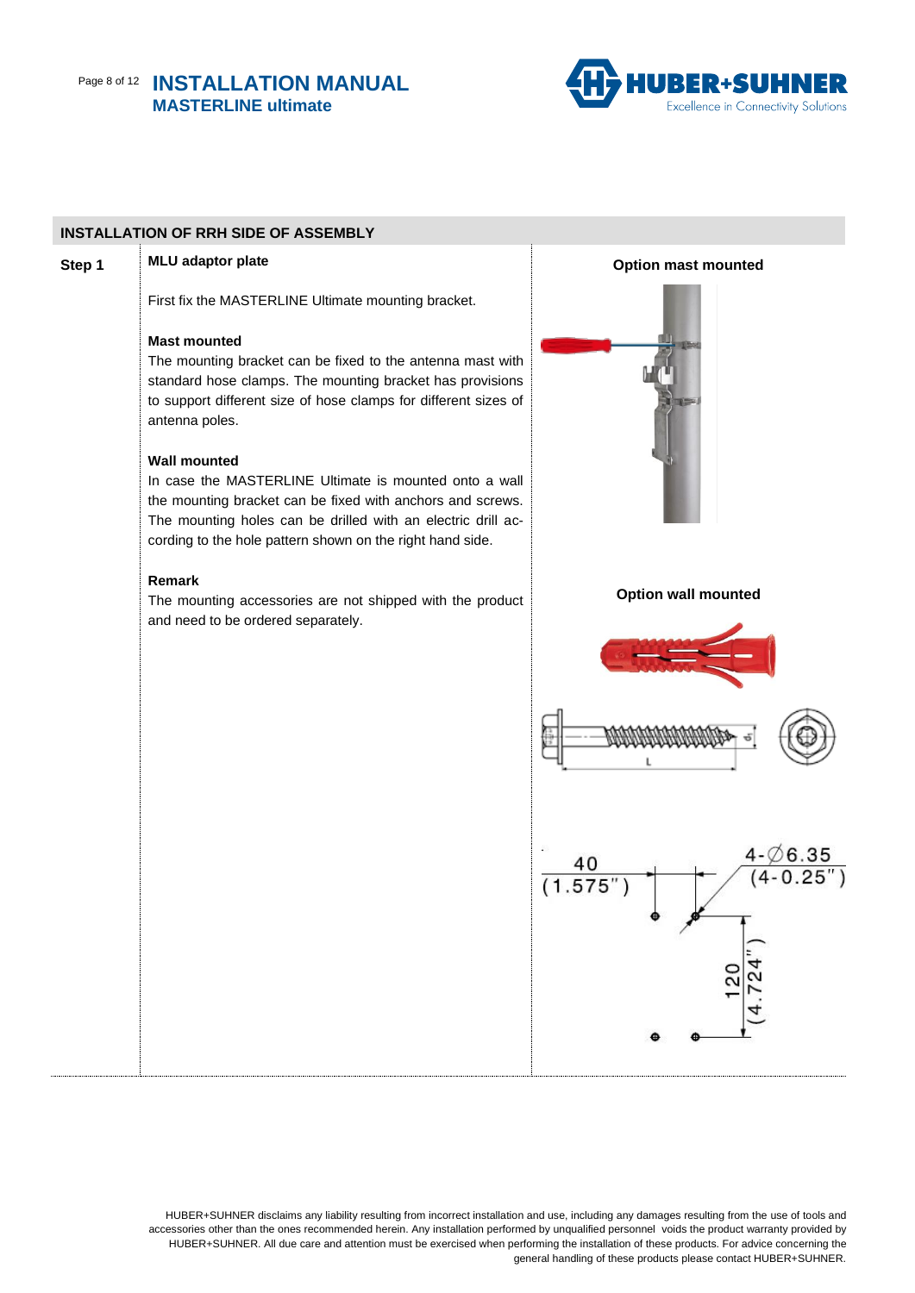## Page 8 of 12 **INSTALLATION MANUAL MASTERLINE ultimate**



| <b>INSTALLATION OF RRH SIDE OF ASSEMBLY</b> |                                                                                                                                                                                                                                                                          |                                   |
|---------------------------------------------|--------------------------------------------------------------------------------------------------------------------------------------------------------------------------------------------------------------------------------------------------------------------------|-----------------------------------|
| Step 1                                      | MLU adaptor plate                                                                                                                                                                                                                                                        | <b>Option mast mounted</b>        |
|                                             | First fix the MASTERLINE Ultimate mounting bracket.                                                                                                                                                                                                                      |                                   |
|                                             | <b>Mast mounted</b><br>The mounting bracket can be fixed to the antenna mast with<br>standard hose clamps. The mounting bracket has provisions<br>to support different size of hose clamps for different sizes of<br>antenna poles.                                      |                                   |
|                                             | <b>Wall mounted</b><br>In case the MASTERLINE Ultimate is mounted onto a wall<br>the mounting bracket can be fixed with anchors and screws.<br>The mounting holes can be drilled with an electric drill ac-<br>cording to the hole pattern shown on the right hand side. |                                   |
|                                             | Remark<br>The mounting accessories are not shipped with the product<br>and need to be ordered separately.                                                                                                                                                                | <b>Option wall mounted</b>        |
|                                             |                                                                                                                                                                                                                                                                          |                                   |
|                                             |                                                                                                                                                                                                                                                                          | 6.35<br>40                        |
|                                             |                                                                                                                                                                                                                                                                          | $4.724$ "<br>$\overline{20}$<br>٠ |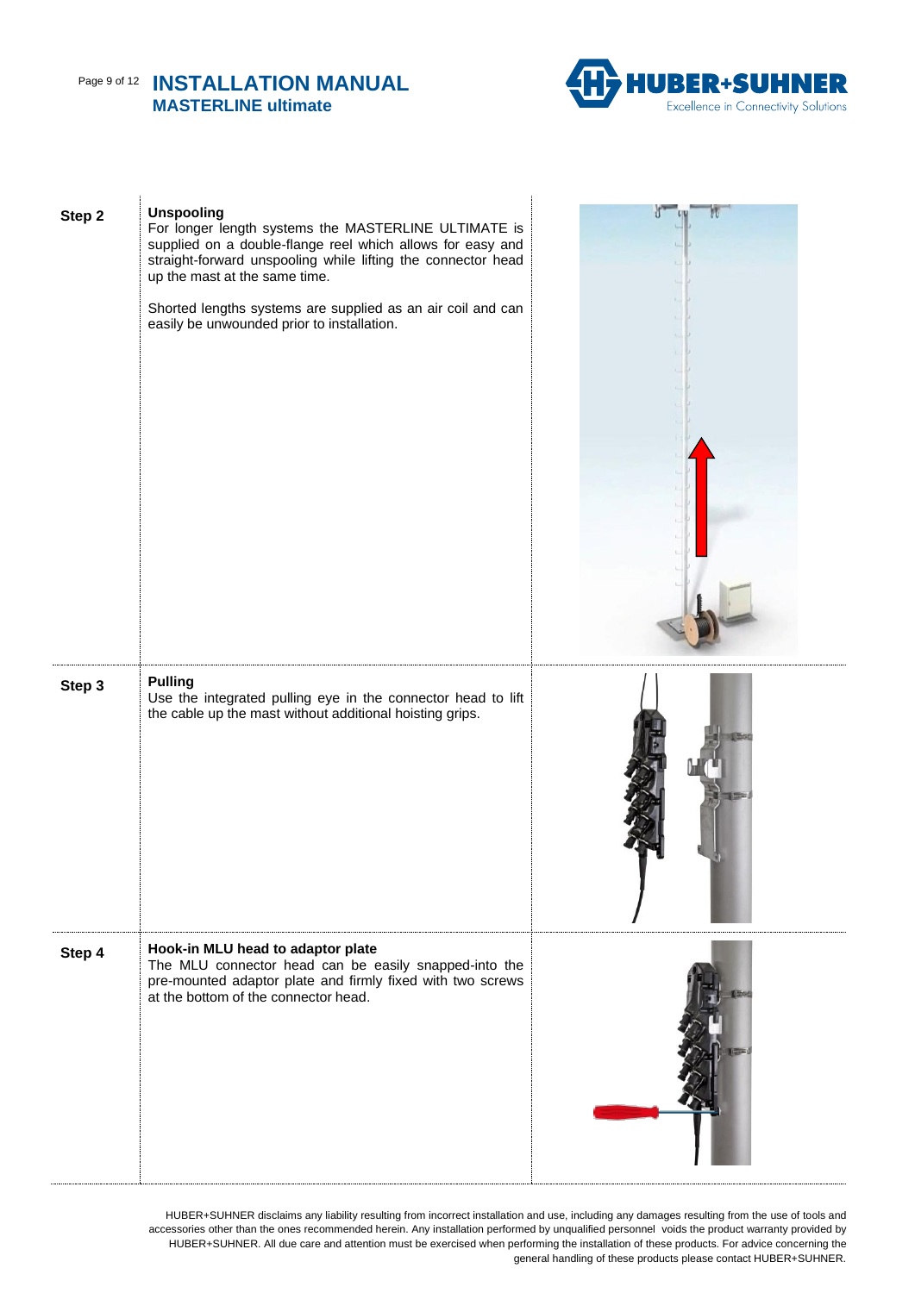## Page 9 of 12 **INSTALLATION MANUAL MASTERLINE ultimate**



| Step 2 | <b>Unspooling</b><br>For longer length systems the MASTERLINE ULTIMATE is<br>supplied on a double-flange reel which allows for easy and<br>straight-forward unspooling while lifting the connector head<br>up the mast at the same time.<br>Shorted lengths systems are supplied as an air coil and can<br>easily be unwounded prior to installation. |  |
|--------|-------------------------------------------------------------------------------------------------------------------------------------------------------------------------------------------------------------------------------------------------------------------------------------------------------------------------------------------------------|--|
| Step 3 | <b>Pulling</b><br>Use the integrated pulling eye in the connector head to lift<br>the cable up the mast without additional hoisting grips.                                                                                                                                                                                                            |  |
| Step 4 | Hook-in MLU head to adaptor plate<br>The MLU connector head can be easily snapped-into the<br>pre-mounted adaptor plate and firmly fixed with two screws<br>at the bottom of the connector head.                                                                                                                                                      |  |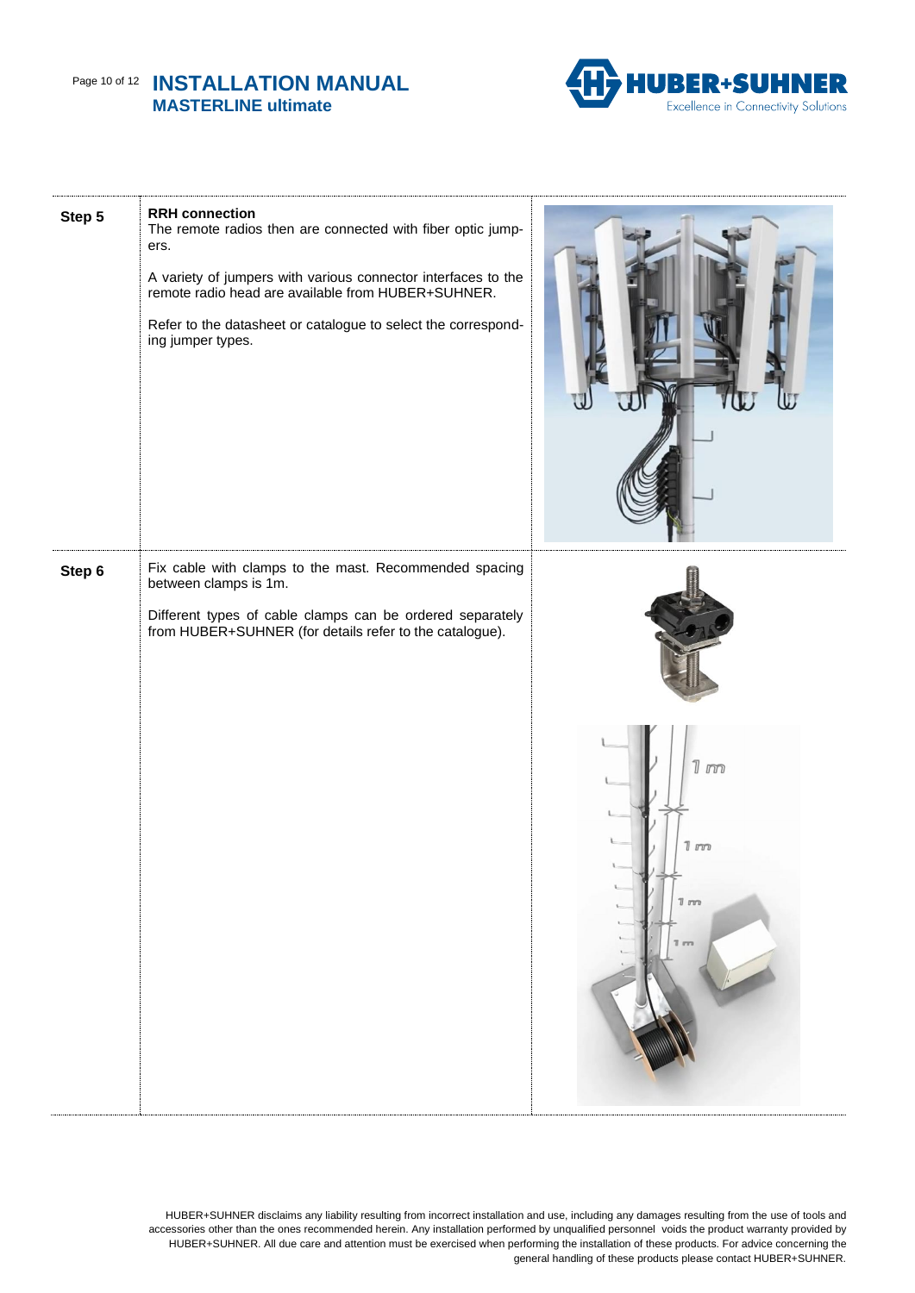## Page 10 of 12 **INSTALLATION MANUAL MASTERLINE ultimate**



| Step 5 | <b>RRH</b> connection<br>The remote radios then are connected with fiber optic jump-<br>ers.<br>A variety of jumpers with various connector interfaces to the<br>remote radio head are available from HUBER+SUHNER.<br>Refer to the datasheet or catalogue to select the correspond-<br>ing jumper types. |                                                 |
|--------|-----------------------------------------------------------------------------------------------------------------------------------------------------------------------------------------------------------------------------------------------------------------------------------------------------------|-------------------------------------------------|
| Step 6 | Fix cable with clamps to the mast. Recommended spacing<br>between clamps is 1m.<br>Different types of cable clamps can be ordered separately<br>from HUBER+SUHNER (for details refer to the catalogue).                                                                                                   | $\mathbb T$ m<br>$\sqrt{1}$ $\sqrt{1}$<br>U ovo |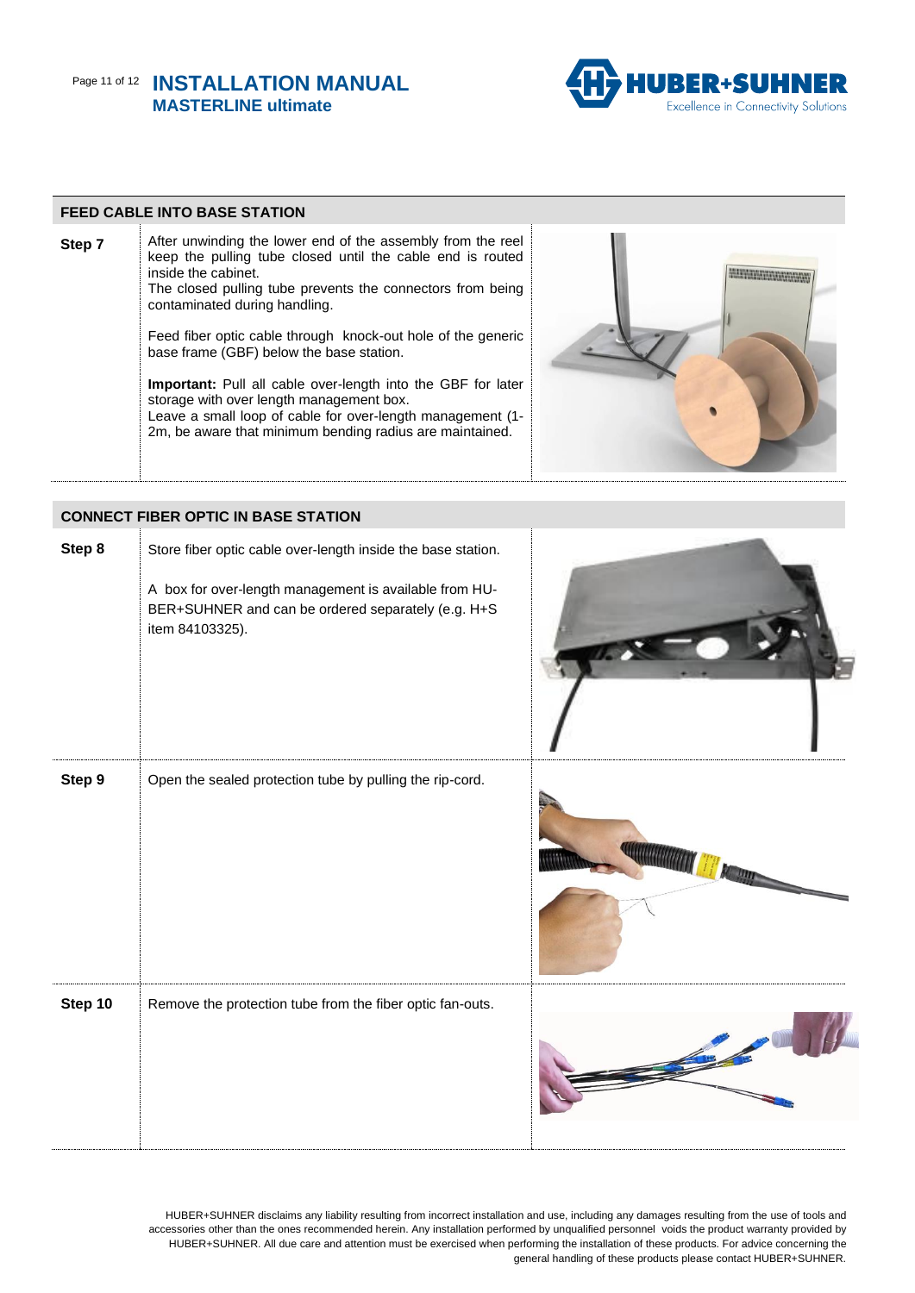## Page 11 of 12 **INSTALLATION MANUAL MASTERLINE ultimate**



### **FEED CABLE INTO BASE STATION**

| Step 7<br>inside the cabinet. | After unwinding the lower end of the assembly from the reel<br>keep the pulling tube closed until the cable end is routed<br>The closed pulling tube prevents the connectors from being<br>contaminated during handling.<br>Feed fiber optic cable through knock-out hole of the generic<br>base frame (GBF) below the base station.<br><b>Important:</b> Pull all cable over-length into the GBF for later<br>storage with over length management box.<br>Leave a small loop of cable for over-length management (1-<br>2m, be aware that minimum bending radius are maintained. |  |
|-------------------------------|-----------------------------------------------------------------------------------------------------------------------------------------------------------------------------------------------------------------------------------------------------------------------------------------------------------------------------------------------------------------------------------------------------------------------------------------------------------------------------------------------------------------------------------------------------------------------------------|--|
|-------------------------------|-----------------------------------------------------------------------------------------------------------------------------------------------------------------------------------------------------------------------------------------------------------------------------------------------------------------------------------------------------------------------------------------------------------------------------------------------------------------------------------------------------------------------------------------------------------------------------------|--|

|         | <b>CONNECT FIBER OPTIC IN BASE STATION</b>                                                                                                                                                      |           |
|---------|-------------------------------------------------------------------------------------------------------------------------------------------------------------------------------------------------|-----------|
| Step 8  | Store fiber optic cable over-length inside the base station.<br>A box for over-length management is available from HU-<br>BER+SUHNER and can be ordered separately (e.g. H+S<br>item 84103325). |           |
| Step 9  | Open the sealed protection tube by pulling the rip-cord.                                                                                                                                        | IT M IIII |
| Step 10 | Remove the protection tube from the fiber optic fan-outs.                                                                                                                                       |           |